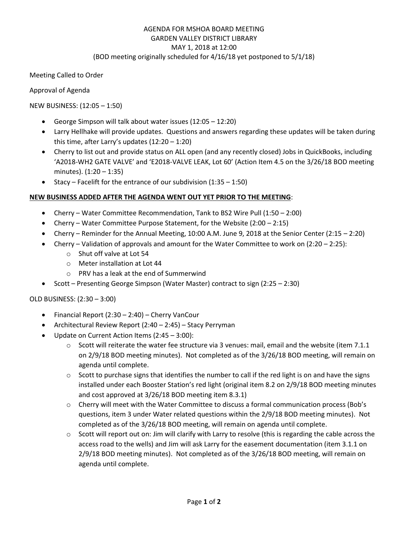# AGENDA FOR MSHOA BOARD MEETING GARDEN VALLEY DISTRICT LIBRARY MAY 1, 2018 at 12:00 (BOD meeting originally scheduled for 4/16/18 yet postponed to 5/1/18)

Meeting Called to Order

Approval of Agenda

NEW BUSINESS: (12:05 – 1:50)

- George Simpson will talk about water issues (12:05 12:20)
- Larry Hellhake will provide updates. Questions and answers regarding these updates will be taken during this time, after Larry's updates (12:20 – 1:20)
- Cherry to list out and provide status on ALL open (and any recently closed) Jobs in QuickBooks, including 'A2018-WH2 GATE VALVE' and 'E2018-VALVE LEAK, Lot 60' (Action Item 4.5 on the 3/26/18 BOD meeting minutes). (1:20 – 1:35)
- Stacy Facelift for the entrance of our subdivision  $(1:35 1:50)$

# **NEW BUSINESS ADDED AFTER THE AGENDA WENT OUT YET PRIOR TO THE MEETING**:

- Cherry Water Committee Recommendation, Tank to BS2 Wire Pull (1:50 2:00)
- Cherry Water Committee Purpose Statement, for the Website (2:00 2:15)
- Cherry Reminder for the Annual Meeting, 10:00 A.M. June 9, 2018 at the Senior Center (2:15 2:20)
- Cherry Validation of approvals and amount for the Water Committee to work on (2:20 2:25):
	- o Shut off valve at Lot 54
	- o Meter installation at Lot 44
	- o PRV has a leak at the end of Summerwind
- Scott Presenting George Simpson (Water Master) contract to sign (2:25 2:30)

## OLD BUSINESS: (2:30 – 3:00)

- Financial Report (2:30 2:40) Cherry VanCour
- Architectural Review Report (2:40 2:45) Stacy Perryman
- Update on Current Action Items (2:45 3:00):
	- $\circ$  Scott will reiterate the water fee structure via 3 venues: mail, email and the website (item 7.1.1 on 2/9/18 BOD meeting minutes). Not completed as of the 3/26/18 BOD meeting, will remain on agenda until complete.
	- $\circ$  Scott to purchase signs that identifies the number to call if the red light is on and have the signs installed under each Booster Station's red light (original item 8.2 on 2/9/18 BOD meeting minutes and cost approved at 3/26/18 BOD meeting item 8.3.1)
	- o Cherry will meet with the Water Committee to discuss a formal communication process (Bob's questions, item 3 under Water related questions within the 2/9/18 BOD meeting minutes). Not completed as of the 3/26/18 BOD meeting, will remain on agenda until complete.
	- o Scott will report out on: Jim will clarify with Larry to resolve (this is regarding the cable across the access road to the wells) and Jim will ask Larry for the easement documentation (item 3.1.1 on 2/9/18 BOD meeting minutes). Not completed as of the 3/26/18 BOD meeting, will remain on agenda until complete.